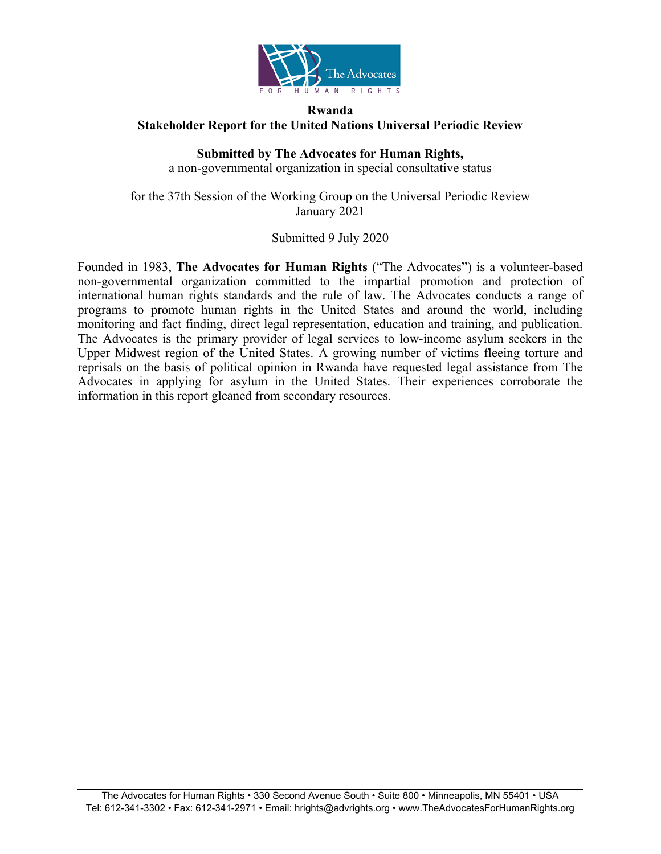

# **Rwanda Stakeholder Report for the United Nations Universal Periodic Review**

# **Submitted by The Advocates for Human Rights,**

<sup>a</sup> non-governmental organization in special consultative status

for the 37th Session of the Working Group on the Universal Periodic Review January 2021

# Submitted 9 July 2020

Founded in 1983, **The Advocates for Human Rights** ("The Advocates") is <sup>a</sup> volunteer-based non-governmental organization committed to the impartial promotion and protection of international human rights standards and the rule of law. The Advocates conducts <sup>a</sup> range of programs to promote human rights in the United States and around the world, including monitoring and fact finding, direct legal representation, education and training, and publication. The Advocates is the primary provider of legal services to low-income asylum seekers in the Upper Midwest region of the United States. A growing number of victims fleeing torture and reprisals on the basis of political opinion in Rwanda have requested legal assistance from The Advocates in applying for asylum in the United States. Their experiences corroborate the information in this repor<sup>t</sup> gleaned from secondary resources.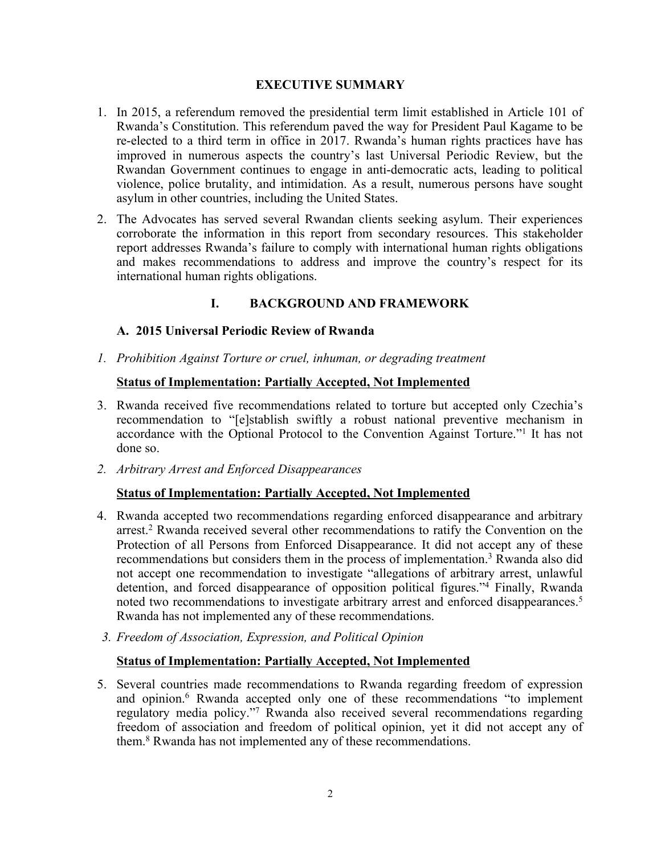#### **EXECUTIVE SUMMARY**

- 1. In 2015, <sup>a</sup> referendum removed the presidential term limit established in Article 101 of Rwanda'<sup>s</sup> Constitution. This referendum paved the way for President Paul Kagame to be re-elected to <sup>a</sup> third term in office in 2017. Rwanda'<sup>s</sup> human rights practices have has improved in numerous aspects the country'<sup>s</sup> last Universal Periodic Review, but the Rwandan Government continues to engage in anti-democratic acts, leading to political violence, police brutality, and intimidation. As <sup>a</sup> result, numerous persons have sought asylum in other countries, including the United States.
- 2. The Advocates has served several Rwandan clients seeking asylum. Their experiences corroborate the information in this repor<sup>t</sup> from secondary resources. This stakeholder repor<sup>t</sup> addresses Rwanda'<sup>s</sup> failure to comply with international human rights obligations and makes recommendations to address and improve the country'<sup>s</sup> respec<sup>t</sup> for its international human rights obligations.

# **I. BACKGROUND AND FRAMEWORK**

### **A. 2015 Universal Periodic Review of Rwanda**

*1. Prohibition Against Torture or cruel, inhuman, or degrading treatment*

#### **Status of Implementation: Partially Accepted, Not Implemented**

- 3. Rwanda received five recommendations related to torture but accepted only Czechia'<sup>s</sup> recommendation to "[e]stablish swiftly <sup>a</sup> robust national preventive mechanism in accordance with the Optional Protocol to the Convention Against Torture."<sup>1</sup> It has not done so.
- *2. Arbitrary Arrest and Enforced Disappearances*

### **Status of Implementation: Partially Accepted, Not Implemented**

- 4. Rwanda accepted two recommendations regarding enforced disappearance and arbitrary arrest. <sup>2</sup> Rwanda received several other recommendations to ratify the Convention on the Protection of all Persons from Enforced Disappearance. It did not accep<sup>t</sup> any of these recommendations but considers them in the process of implementation. <sup>3</sup> Rwanda also did not accep<sup>t</sup> one recommendation to investigate "allegations of arbitrary arrest, unlawful detention, and forced disappearance of opposition political figures."<sup>4</sup> Finally, Rwanda noted two recommendations to investigate arbitrary arrest and enforced disappearances.<sup>5</sup> Rwanda has not implemented any of these recommendations.
- *3. Freedom of Association, Expression, and Political Opinion*

### **Status of Implementation: Partially Accepted, Not Implemented**

5. Several countries made recommendations to Rwanda regarding freedom of expression and opinion. <sup>6</sup> Rwanda accepted only one of these recommendations "to implement regulatory media policy."<sup>7</sup> Rwanda also received several recommendations regarding freedom of association and freedom of political opinion, ye<sup>t</sup> it did not accep<sup>t</sup> any of them. <sup>8</sup> Rwanda has not implemented any of these recommendations.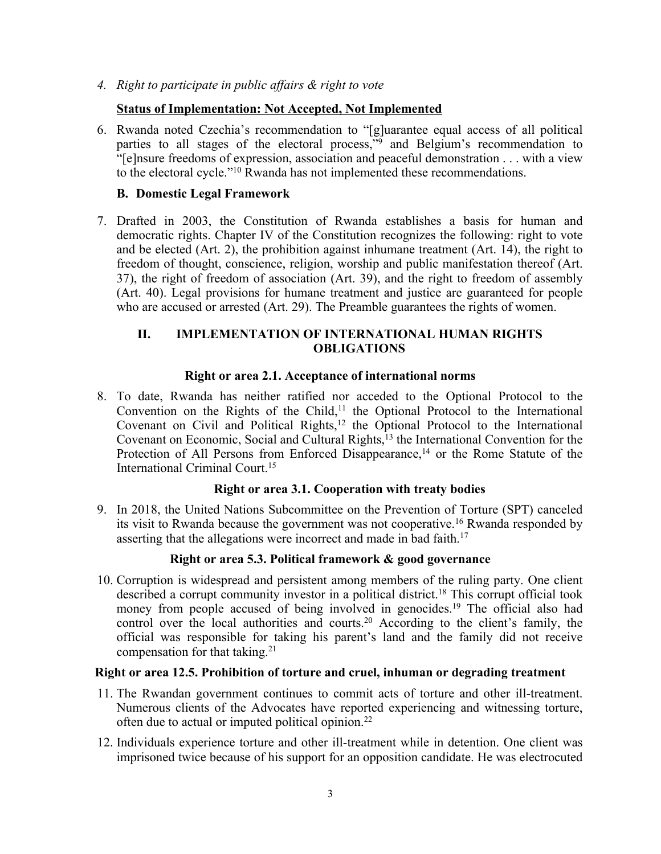*4. Right to participate in public affairs & right to vote*

# **Status of Implementation: Not Accepted, Not Implemented**

6. Rwanda noted Czechia'<sup>s</sup> recommendation to "[g]uarantee equal access of all political parties to all stages of the electoral process,"<sup>9</sup> and Belgium'<sup>s</sup> recommendation to "[e]nsure freedoms of expression, association and peaceful demonstration . . . with <sup>a</sup> view to the electoral cycle."<sup>10</sup> Rwanda has not implemented these recommendations.

# **B. Domestic Legal Framework**

7. Drafted in 2003, the Constitution of Rwanda establishes <sup>a</sup> basis for human and democratic rights. Chapter IV of the Constitution recognizes the following: right to vote and be elected (Art. 2), the prohibition against inhumane treatment (Art. 14), the right to freedom of thought, conscience, religion, worship and public manifestation thereof (Art. 37), the right of freedom of association (Art. 39), and the right to freedom of assembly (Art. 40). Legal provisions for humane treatment and justice are guaranteed for people who are accused or arrested (Art. 29). The Preamble guarantees the rights of women.

# **II. IMPLEMENTATION OF INTERNATIONAL HUMAN RIGHTS OBLIGATIONS**

### **Right or area 2.1. Acceptance of international norms**

8. To date, Rwanda has neither ratified nor acceded to the Optional Protocol to the Convention on the Rights of the Child,<sup>11</sup> the Optional Protocol to the International Covenant on Civil and Political Rights,<sup>12</sup> the Optional Protocol to the International Covenant on Economic, Social and Cultural Rights, 13 the International Convention for the Protection of All Persons from Enforced Disappearance,<sup>14</sup> or the Rome Statute of the International Criminal Court. 15

### **Right or area 3.1. Cooperation with treaty bodies**

9. In 2018, the United Nations Subcommittee on the Prevention of Torture (SPT) canceled its visit to Rwanda because the government was not cooperative.<sup>16</sup> Rwanda responded by asserting that the allegations were incorrect and made in bad faith.<sup>17</sup>

### **Right or area 5.3. Political framework & good governance**

10. Corruption is widespread and persistent among members of the ruling party. One client described <sup>a</sup> corrup<sup>t</sup> community investor in <sup>a</sup> political district. 18 This corrup<sup>t</sup> official took money from people accused of being involved in genocides.<sup>19</sup> The official also had control over the local authorities and courts. <sup>20</sup> According to the client'<sup>s</sup> family, the official was responsible for taking his parent'<sup>s</sup> land and the family did not receive compensation for that taking. 21

### **Right or area 12.5. Prohibition of torture and cruel, inhuman or degrading treatment**

- 11. The Rwandan governmen<sup>t</sup> continues to commit acts of torture and other ill-treatment. Numerous clients of the Advocates have reported experiencing and witnessing torture, often due to actual or imputed political opinion.<sup>22</sup>
- 12. Individuals experience torture and other ill-treatment while in detention. One client was imprisoned twice because of his suppor<sup>t</sup> for an opposition candidate. He was electrocuted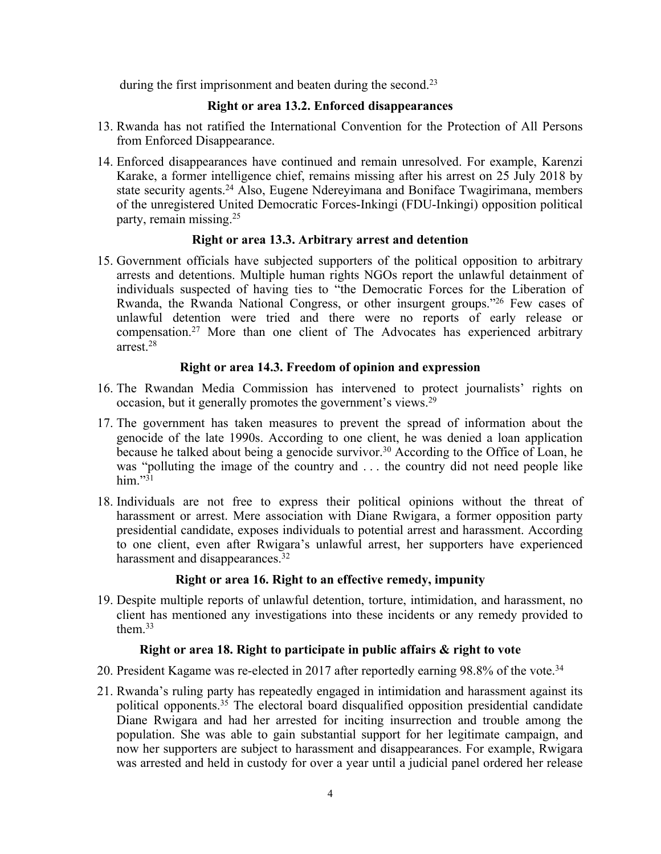during the first imprisonment and beaten during the second.<sup>23</sup>

# **Right or area 13.2. Enforced disappearances**

- 13. Rwanda has not ratified the International Convention for the Protection of All Persons from Enforced Disappearance.
- 14. Enforced disappearances have continued and remain unresolved. For example, Karenzi Karake, <sup>a</sup> former intelligence chief, remains missing after his arrest on 25 July 2018 by state security agents. <sup>24</sup> Also, Eugene Ndereyimana and Boniface Twagirimana, members of the unregistered United Democratic Forces-Inkingi (FDU-Inkingi) opposition political party, remain missing. 25

### **Right or area 13.3. Arbitrary arrest and detention**

15. Government officials have subjected supporters of the political opposition to arbitrary arrests and detentions. Multiple human rights NGOs repor<sup>t</sup> the unlawful detainment of individuals suspected of having ties to "the Democratic Forces for the Liberation of Rwanda, the Rwanda National Congress, or other insurgent groups."<sup>26</sup> Few cases of unlawful detention were tried and there were no reports of early release or compensation. <sup>27</sup> More than one client of The Advocates has experienced arbitrary arrest.<sup>28</sup>

# **Right or area 14.3. Freedom of opinion and expression**

- 16. The Rwandan Media Commission has intervened to protect journalists' rights on occasion, but it generally promotes the government's views.<sup>29</sup>
- 17. The governmen<sup>t</sup> has taken measures to preven<sup>t</sup> the spread of information about the genocide of the late 1990s. According to one client, he was denied <sup>a</sup> loan application because he talked about being <sup>a</sup> genocide survivor. <sup>30</sup> According to the Office of Loan, he was "polluting the image of the country and . . . the country did not need people like him." $3<sup>1</sup>$
- 18. Individuals are not free to express their political opinions without the threat of harassment or arrest. Mere association with Diane Rwigara, <sup>a</sup> former opposition party presidential candidate, exposes individuals to potential arrest and harassment. According to one client, even after Rwigara'<sup>s</sup> unlawful arrest, her supporters have experienced harassment and disappearances.<sup>32</sup>

### **Right or area 16. Right to an effective remedy, impunity**

19. Despite multiple reports of unlawful detention, torture, intimidation, and harassment, no client has mentioned any investigations into these incidents or any remedy provided to them. 33

### **Right or area 18. Right to participate in public affairs & right to vote**

- 20. President Kagame was re-elected in 2017 after reportedly earning 98.8% of the vote. 34
- 21. Rwanda'<sup>s</sup> ruling party has repeatedly engaged in intimidation and harassment against its political opponents. 35 The electoral board disqualified opposition presidential candidate Diane Rwigara and had her arrested for inciting insurrection and trouble among the population. She was able to gain substantial suppor<sup>t</sup> for her legitimate campaign, and now her supporters are subject to harassment and disappearances. For example, Rwigara was arrested and held in custody for over <sup>a</sup> year until <sup>a</sup> judicial panel ordered her release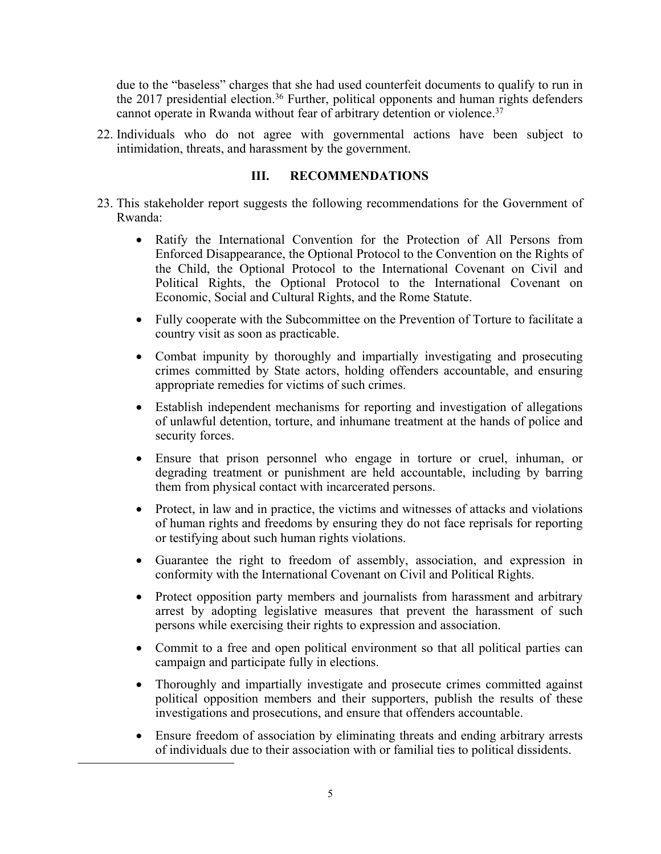due to the "baseless" charges that she had used counterfeit documents to qualify to run in the 2017 presidential election.<sup>36</sup> Further, political opponents and human rights defenders cannot operate in Rwanda without fear of arbitrary detention or violence. 37

22. Individuals who do not agree with governmental actions have been subject to intimidation, threats, and harassment by the government.

# **III. RECOMMENDATIONS**

- 23. This stakeholder repor<sup>t</sup> suggests the following recommendations for the Government of Rwanda:
	- Ratify the International Convention for the Protection of All Persons from Enforced Disappearance, the Optional Protocol to the Convention on the Rights of the Child, the Optional Protocol to the International Covenant on Civil and Political Rights, the Optional Protocol to the International Covenant on Economic, Social and Cultural Rights, and the Rome Statute.
	- Fully cooperate with the Subcommittee on the Prevention of Torture to facilitate <sup>a</sup> country visit as soon as practicable.
	- $\bullet$  Combat impunity by thoroughly and impartially investigating and prosecuting crimes committed by State actors, holding offenders accountable, and ensuring appropriate remedies for victims of such crimes.
	- $\bullet$  Establish independent mechanisms for reporting and investigation of allegations of unlawful detention, torture, and inhumane treatment at the hands of police and security forces.
	- $\bullet$  Ensure that prison personnel who engage in torture or cruel, inhuman, or degrading treatment or punishment are held accountable, including by barring them from physical contact with incarcerated persons.
	- $\bullet$  Protect, in law and in practice, the victims and witnesses of attacks and violations of human rights and freedoms by ensuring they do not face reprisals for reporting or testifying about such human rights violations.
	- $\bullet$  Guarantee the right to freedom of assembly, association, and expression in conformity with the International Covenant on Civil and Political Rights.
	- $\bullet$  Protect opposition party members and journalists from harassment and arbitrary arrest by adopting legislative measures that preven<sup>t</sup> the harassment of such persons while exercising their rights to expression and association.
	- Commit to <sup>a</sup> free and open political environment so that all political parties can campaign and participate fully in elections.
	- $\bullet$  Thoroughly and impartially investigate and prosecute crimes committed against political opposition members and their supporters, publish the results of these investigations and prosecutions, and ensure that offenders accountable.
	- $\bullet$  Ensure freedom of association by eliminating threats and ending arbitrary arrests of individuals due to their association with or familial ties to political dissidents.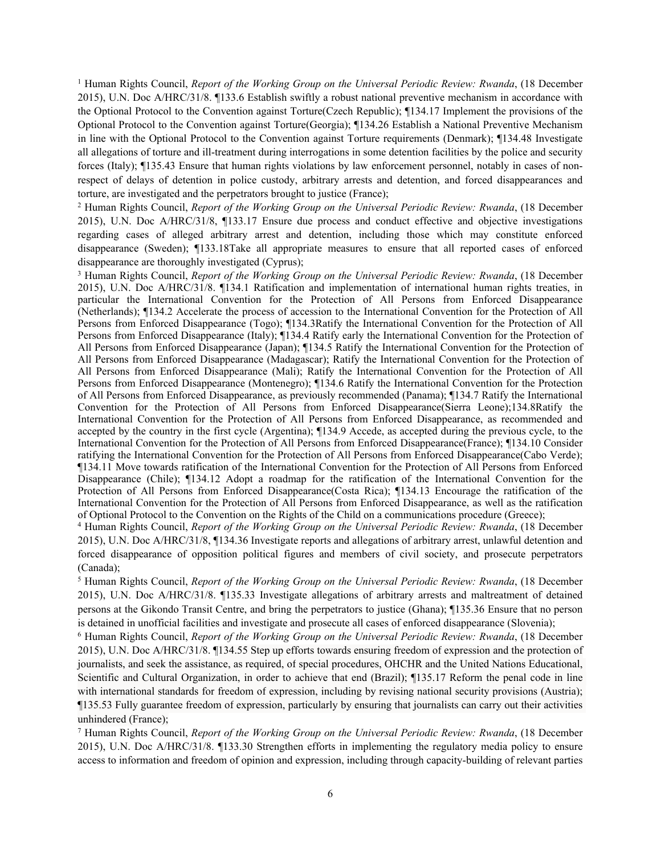<sup>1</sup> Human Rights Council, *Report of the Working Group on the Universal Periodic Review: Rwanda*, (18 December 2015), U.N. Doc A/HRC/31/8. ¶133.6 Establish swiftly <sup>a</sup> robust national preventive mechanism in accordance with the Optional Protocol to the Convention against Torture(Czech Republic); ¶134.17 Implement the provisions of the Optional Protocol to the Convention against Torture(Georgia); ¶134.26 Establish <sup>a</sup> National Preventive Mechanism in line with the Optional Protocol to the Convention against Torture requirements (Denmark); ¶134.48 Investigate all allegations of torture and ill-treatment during interrogations in some detention facilities by the police and security forces (Italy); ¶135.43 Ensure that human rights violations by law enforcement personnel, notably in cases of nonrespec<sup>t</sup> of delays of detention in police custody, arbitrary arrests and detention, and forced disappearances and torture, are investigated and the perpetrators brought to justice (France);

<sup>2</sup> Human Rights Council, *Report of the Working Group on the Universal Periodic Review: Rwanda*, (18 December 2015), U.N. Doc A/HRC/31/8, ¶133.17 Ensure due process and conduct effective and objective investigations regarding cases of alleged arbitrary arrest and detention, including those which may constitute enforced disappearance (Sweden); ¶133.18Take all appropriate measures to ensure that all reported cases of enforced disappearance are thoroughly investigated (Cyprus);

<sup>3</sup> Human Rights Council, *Report of the Working Group on the Universal Periodic Review: Rwanda*, (18 December 2015), U.N. Doc A/HRC/31/8. ¶134.1 Ratification and implementation of international human rights treaties, in particular the International Convention for the Protection of All Persons from Enforced Disappearance (Netherlands); ¶134.2 Accelerate the process of accession to the International Convention for the Protection of All Persons from Enforced Disappearance (Togo); ¶134.3Ratify the International Convention for the Protection of All Persons from Enforced Disappearance (Italy); ¶134.4 Ratify early the International Convention for the Protection of All Persons from Enforced Disappearance (Japan); ¶134.5 Ratify the International Convention for the Protection of All Persons from Enforced Disappearance (Madagascar); Ratify the International Convention for the Protection of All Persons from Enforced Disappearance (Mali); Ratify the International Convention for the Protection of All Persons from Enforced Disappearance (Montenegro); ¶134.6 Ratify the International Convention for the Protection of All Persons from Enforced Disappearance, as previously recommended (Panama); ¶134.7 Ratify the International Convention for the Protection of All Persons from Enforced Disappearance(Sierra Leone);134.8Ratify the International Convention for the Protection of All Persons from Enforced Disappearance, as recommended and accepted by the country in the first cycle (Argentina); ¶134.9 Accede, as accepted during the previous cycle, to the International Convention for the Protection of All Persons from Enforced Disappearance(France); ¶134.10 Consider ratifying the International Convention for the Protection of All Persons from Enforced Disappearance(Cabo Verde); ¶134.11 Move towards ratification of the International Convention for the Protection of All Persons from Enforced Disappearance (Chile); ¶134.12 Adopt <sup>a</sup> roadmap for the ratification of the International Convention for the Protection of All Persons from Enforced Disappearance(Costa Rica); ¶134.13 Encourage the ratification of the International Convention for the Protection of All Persons from Enforced Disappearance, as well as the ratification of Optional Protocol to the Convention on the Rights of the Child on <sup>a</sup> communications procedure (Greece);

<sup>4</sup> Human Rights Council, *Report of the Working Group on the Universal Periodic Review: Rwanda*, (18 December 2015), U.N. Doc A/HRC/31/8, ¶134.36 Investigate reports and allegations of arbitrary arrest, unlawful detention and forced disappearance of opposition political figures and members of civil society, and prosecute perpetrators (Canada);

<sup>5</sup> Human Rights Council, *Report of the Working Group on the Universal Periodic Review: Rwanda*, (18 December 2015), U.N. Doc A/HRC/31/8. ¶135.33 Investigate allegations of arbitrary arrests and maltreatment of detained persons at the Gikondo Transit Centre, and bring the perpetrators to justice (Ghana); ¶135.36 Ensure that no person is detained in unofficial facilities and investigate and prosecute all cases of enforced disappearance (Slovenia);

<sup>6</sup> Human Rights Council, *Report of the Working Group on the Universal Periodic Review: Rwanda*, (18 December 2015), U.N. Doc A/HRC/31/8. ¶134.55 Step up efforts towards ensuring freedom of expression and the protection of journalists, and seek the assistance, as required, of special procedures, OHCHR and the United Nations Educational, Scientific and Cultural Organization, in order to achieve that end (Brazil); ¶135.17 Reform the penal code in line with international standards for freedom of expression, including by revising national security provisions (Austria); ¶135.53 Fully guarantee freedom of expression, particularly by ensuring that journalists can carry out their activities unhindered (France);

<sup>7</sup> Human Rights Council, *Report of the Working Group on the Universal Periodic Review: Rwanda*, (18 December 2015), U.N. Doc A/HRC/31/8. ¶133.30 Strengthen efforts in implementing the regulatory media policy to ensure access to information and freedom of opinion and expression, including through capacity-building of relevant parties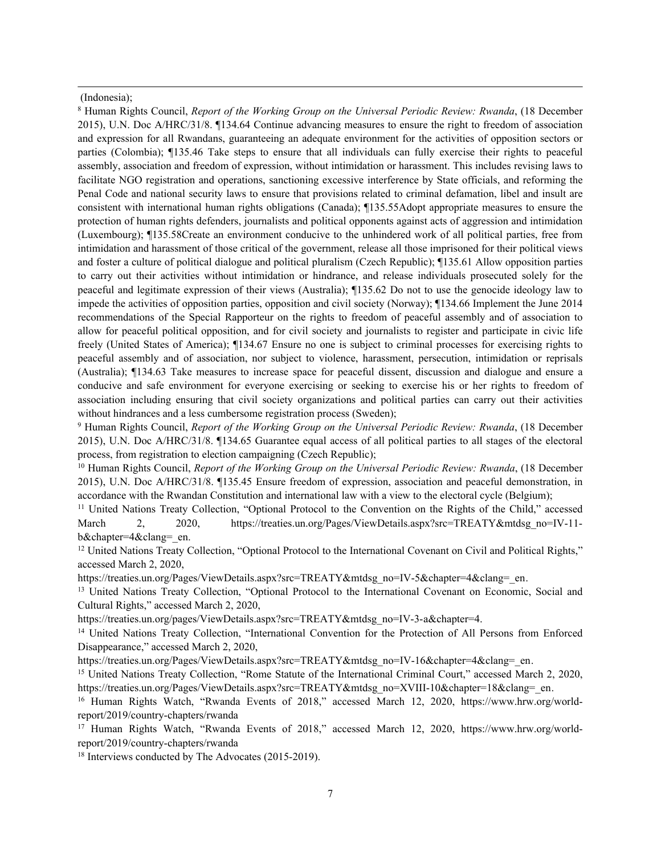#### (Indonesia);

<sup>8</sup> Human Rights Council, *Report of the Working Group on the Universal Periodic Review: Rwanda*, (18 December 2015), U.N. Doc A/HRC/31/8. ¶134.64 Continue advancing measures to ensure the right to freedom of association and expression for all Rwandans, guaranteeing an adequate environment for the activities of opposition sectors or parties (Colombia); ¶135.46 Take steps to ensure that all individuals can fully exercise their rights to peaceful assembly, association and freedom of expression, without intimidation or harassment. This includes revising laws to facilitate NGO registration and operations, sanctioning excessive interference by State officials, and reforming the Penal Code and national security laws to ensure that provisions related to criminal defamation, libel and insult are consistent with international human rights obligations (Canada); ¶135.55Adopt appropriate measures to ensure the protection of human rights defenders, journalists and political opponents against acts of aggression and intimidation (Luxembourg); ¶135.58Create an environment conducive to the unhindered work of all political parties, free from intimidation and harassment of those critical of the government, release all those imprisoned for their political views and foster <sup>a</sup> culture of political dialogue and political pluralism (Czech Republic); ¶135.61 Allow opposition parties to carry out their activities without intimidation or hindrance, and release individuals prosecuted solely for the peaceful and legitimate expression of their views (Australia); ¶135.62 Do not to use the genocide ideology law to impede the activities of opposition parties, opposition and civil society (Norway); ¶134.66 Implement the June 2014 recommendations of the Special Rapporteur on the rights to freedom of peaceful assembly and of association to allow for peaceful political opposition, and for civil society and journalists to register and participate in civic life freely (United States of America); ¶134.67 Ensure no one is subject to criminal processes for exercising rights to peaceful assembly and of association, nor subject to violence, harassment, persecution, intimidation or reprisals (Australia); ¶134.63 Take measures to increase space for peaceful dissent, discussion and dialogue and ensure <sup>a</sup> conducive and safe environment for everyone exercising or seeking to exercise his or her rights to freedom of association including ensuring that civil society organizations and political parties can carry out their activities without hindrances and <sup>a</sup> less cumbersome registration process (Sweden);

<sup>9</sup> Human Rights Council, *Report of the Working Group on the Universal Periodic Review: Rwanda*, (18 December 2015), U.N. Doc A/HRC/31/8. ¶134.65 Guarantee equal access of all political parties to all stages of the electoral process, from registration to election campaigning (Czech Republic);

<sup>10</sup> Human Rights Council, *Report of the Working Group on the Universal Periodic Review: Rwanda*, (18 December 2015), U.N. Doc A/HRC/31/8. ¶135.45 Ensure freedom of expression, association and peaceful demonstration, in accordance with the Rwandan Constitution and international law with <sup>a</sup> view to the electoral cycle (Belgium);

<sup>11</sup> United Nations Treaty Collection, "Optional Protocol to the Convention on the Rights of the Child," accessed March 2, 2020, [https://treaties.un.org/Pages/ViewDetails.aspx?src=TREATY&mtdsg\\_no=IV-11](https://treaties.un.org/Pages/ViewDetails.aspx?src=TREATY&mtdsg_no=IV-11-b&chapter=4&clang=_en) b&chapter=4&clang= en.

<sup>12</sup> United Nations Treaty Collection, "Optional Protocol to the International Covenant on Civil and Political Rights," accessed March 2, 2020,

[https://treaties.un.org/Pages/ViewDetails.aspx?src=TREATY&mtdsg\\_no=IV-5&chapter=4&clang=\\_en](https://treaties.un.org/Pages/ViewDetails.aspx?src=TREATY&mtdsg_no=IV-5&chapter=4&clang=_en).

<sup>13</sup> United Nations Treaty Collection, "Optional Protocol to the International Covenant on Economic, Social and Cultural Rights," accessed March 2, 2020,

[https://treaties.un.org/pages/ViewDetails.aspx?src=TREATY&mtdsg\\_no=IV-3-a&chapter=4](https://treaties.un.org/pages/ViewDetails.aspx?src=TREATY&mtdsg_no=IV-3-a&chapter=4).

<sup>14</sup> United Nations Treaty Collection, "International Convention for the Protection of All Persons from Enforced Disappearance," accessed March 2, 2020,

[https://treaties.un.org/Pages/ViewDetails.aspx?src=TREATY&mtdsg\\_no=IV-16&chapter=4&clang=\\_en](https://treaties.un.org/Pages/ViewDetails.aspx?src=TREATY&mtdsg_no=IV-16&chapter=4&clang=_en).

<sup>15</sup> United Nations Treaty Collection, "Rome Statute of the International Criminal Court," accessed March 2, 2020, [https://treaties.un.org/Pages/ViewDetails.aspx?src=TREATY&mtdsg\\_no=XVIII-10&chapter=18&clang=\\_en](https://treaties.un.org/Pages/ViewDetails.aspx?src=TREATY&mtdsg_no=XVIII-10&chapter=18&clang=_en).

<sup>16</sup> Human Rights Watch, "Rwanda Events of 2018," accessed March 12, 2020, [https://www.hrw.org/world](https://www.hrw.org/world-report/2019/country-chapters/rwanda)repor[t/2019/country-chapters/rwanda](https://www.hrw.org/world-report/2019/country-chapters/rwanda)

<sup>17</sup> Human Rights Watch, "Rwanda Events of 2018," accessed March 12, 2020, [https://www.hrw.org/world](https://www.hrw.org/world-report/2019/country-chapters/rwanda)repor[t/2019/country-chapters/rwanda](https://www.hrw.org/world-report/2019/country-chapters/rwanda)

<sup>18</sup> Interviews conducted by The Advocates (2015-2019).